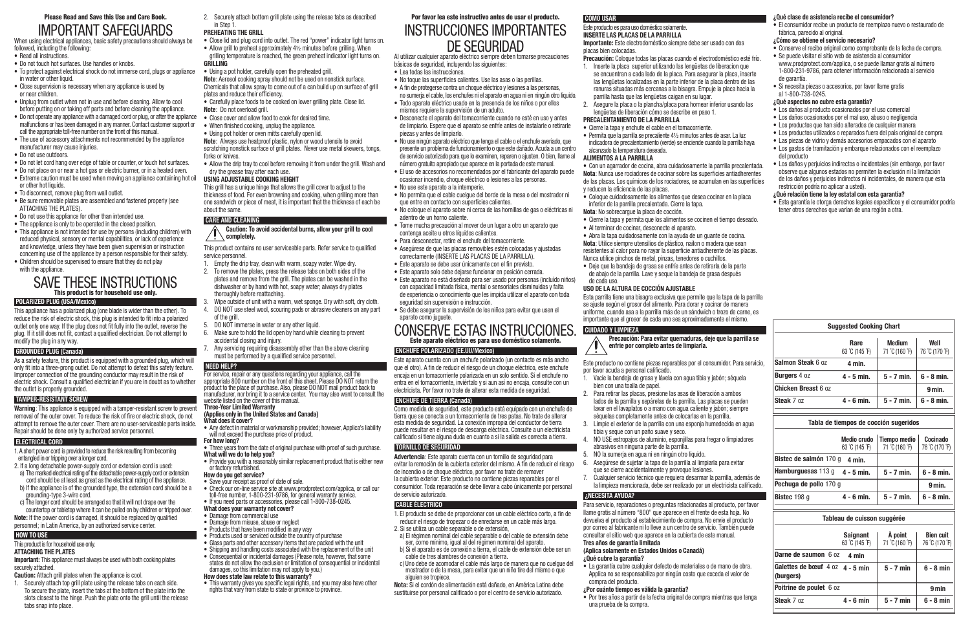## Please Read and Save this Use and Care Book. IMPORTANT SAFEGUARDS

When using electrical appliances, basic safety precautions should always be followed, including the following:

- Read all instructions.
- Do not touch hot surfaces. Use handles or knobs.
- To protect against electrical shock do not immerse cord, plugs or appliance in water or other liquid.
- Close supervision is necessary when any appliance is used by or near children.
- Unplug from outlet when not in use and before cleaning. Allow to cool before putting on or taking off parts and before cleaning the appliance.
- Do not operate any appliance with a damaged cord or plug, or after the appliance Close cover and allow food to cook for desired time. malfunctions or has been damaged in any manner. Contact customer support or call the appropriate toll-free number on the front of this manual.
- The use of accessory attachments not recommended by the appliance manufacturer may cause injuries.
- Do not use outdoors.
- Do not let cord hang over edge of table or counter, or touch hot surfaces.
- Do not place on or near a hot gas or electric burner, or in a heated oven.
- Extreme caution must be used when moving an appliance containing hot oil or other hot liquids.
- To disconnect, remove plug from wall outlet.
- Be sure removable plates are assembled and fastened properly (see ATTACHING THE PLATES).
- • Do not use this appliance for other than intended use.
- The appliance is only to be operated in the closed position.
- This appliance is not intended for use by persons (including children) with reduced physical, sensory or mental capabilities, or lack of experience and knowledge, unless they have been given supervision or instruction concerning use of the appliance by a person responsible for their safety. • Children should be supervised to ensure that they do not play
- with the appliance.

## SAVE THESE INSTRUCTIONS This product is for household use only.

#### **POLARIZED PLUG (USA/Mexico)**

**Important:** This appliance must always be used with both cooking plates securely attached.

This appliance has a polarized plug (one blade is wider than the other). To reduce the risk of electric shock, this plug is intended to fit into a polarized outlet only one way. If the plug does not fit fully into the outlet, reverse the plug. If it still does not fit, contact a qualified electrician. Do not attempt to modify the plug in any way.

#### **GROUNDED PLUG (Canada)**

As a safety feature, this product is equipped with a grounded plug, which will only fit into a three-prong outlet. Do not attempt to defeat this safety feature. Improper connection of the grounding conductor may result in the risk of electric shock. Consult a qualified electrician if you are in doubt as to whether the outlet is properly grounded.

• Allow the drip tray to cool before removing it from under the grill. Wash and dry the grease tray after each use.

#### **TAMPER-RESISTANT SCREW**

**Caution: To avoid accidental burns, allow your grill to cool**   $\sqrt{ }$  completely.

**Warning**: This appliance is equipped with a tamper-resistant screw to prevent removal of the outer cover. To reduce the risk of fire or electric shock, do not attempt to remove the outer cover. There are no user-serviceable parts inside. Repair should be done only by authorized service personnel.

## **ELECTRICAL CORD**

1. A short power cord is provided to reduce the risk resulting from becoming entangled in or tripping over a longer cord.

- 2. If a long detachable power-supply cord or extension cord is used:
- a) The marked electrical rating of the detachable power-supply cord or extension cord should be at least as great as the electrical rating of the appliance.
- b) If the appliance is of the grounded type, the extension cord should be a grounding-type 3-wire cord.
- c) The longer cord should be arranged so that it will not drape over the countertop or tabletop where it can be pulled on by children or tripped over.
- **Note:** If the power cord is damaged, it should be replaced by qualified personnel; in Latin America, by an authorized service center.

## **HOW TO USE**

## This product is for household use only.

#### **ATTACHING THE PLATES**

- **Caution:** Attach grill plates when the appliance is cool.
- 1. Securely attach top grill plate using the release tabs on each side. To secure the plate, insert the tabs at the bottom of the plate into the slots closest to the hinge. Push the plate onto the grill until the release tabs snap into place.
- Provide you with a reasonably similar replacement product that is either new or factory refurbished.
- **How do you get service?**
- Save your receipt as proof of date of sale.
- • Check our on-line service site at www.prodprotect.com/applica, or call our toll-free number, 1-800-231-9786, for general warranty service.
- If you need parts or accessories, please call 1-800-738-0245.
- **What does your warranty not cover?**
- Damage from commercial use
- Damage from misuse, abuse or neglect
- Products that have been modified in any way
- Products used or serviced outside the country of purchase • Glass parts and other accessory items that are packed with the unit
- Shipping and handling costs associated with the replacement of the unit
- Consequential or incidental damages (Please note, however, that some
- states do not allow the exclusion or limitation of consequential or incidental damages, so this limitation may not apply to you.)

• This warranty gives you specific legal rights, and you may also have other rights that vary from state to state or province to province.

2. Securely attach bottom grill plate using the release tabs as described in Step 1.

#### **PREHEATING THE GRILL**

- Close lid and plug cord into outlet. The red "power" indicator light turns on.
- Allow grill to preheat approximately  $4\frac{1}{2}$  minutes before grilling. When grilling temperature is reached, the green preheat indicator light turns on. **GRILLING**
- Using a pot holder, carefully open the preheated grill. **Note**: Aerosol cooking spray should not be used on nonstick surface. Chemicals that allow spray to come out of a can build up on surface of grill plates and reduce their efficiency.
- Carefully place foods to be cooked on lower grilling plate. Close lid. **Note**: Do not overload grill.
- 
- When finished cooking, unplug the appliance.
- Using pot holder or oven mitts carefully open lid.

#### **Note**: Always use heatproof plastic, nylon or wood utensils to avoid scratching nonstick surface of grill plates. Never use metal skewers, tongs, forks or knives.

#### **USING ADJUSTABLE COOKING HEIGHT**

This grill has a unique hinge that allows the grill cover to adjust to the thickness of food. For even browning and cooking, when grilling more than one sandwich or piece of meat, it is important that the thickness of each be about the same.

#### **CARE AND CLEANING**

#### This product contains no user serviceable parts. Refer service to qualified service personnel.

- 1. Empty the drip tray, clean with warm, soapy water. Wipe dry.
- 2. To remove the plates, press the release tabs on both sides of the plates and remove from the grill. The plates can be washed in the dishwasher or by hand with hot, soapy water; always dry plates thoroughly before reattaching.
- Wipe outside of unit with a warm, wet sponge. Dry with soft, dry cloth.
- 4. DO NOT use steel wool, scouring pads or abrasive cleaners on any part
- of the grill. 5. DO NOT immerse in water or any other liquid.
- 6. Make sure to hold the lid open by hand while cleaning to prevent accidental closing and injury.
- Any servicing requiring disassembly other than the above cleaning must be performed by a qualified service personnel.

## **NEED HELP?**

For service, repair or any questions regarding your appliance, call the appropriate 800 number on the front of this sheet. Please DO NOT return the product to the place of purchase. Also, please DO NOT mail product back to manufacturer, nor bring it to a service center. You may also want to consult the website listed on the cover of this manual.

 $\bullet$  Permita que la parrilla se precaliente  $4\frac{1}{2}$  minutos antes de asar. La luz indicadora de precalentamiento (verde) se enciende cuando la parrilla haya

#### **Three-Year Limited Warranty (Applies only in the United States and Canada)**

### **What does it cover?**

- Any defect in material or workmanship provided; however, Applica's liability will not exceed the purchase price of product.
- **For how long?** • Three years from the date of original purchase with proof of such purchase.

#### **What will we do to help you?**

• Abra la tapa cuidadosamente con la ayuda de un guante de cocina. **Nota**: Utilice siempre utensilios de plástico, nailon o madera que sean resistentes al calor para no rayar la superficie antiadherente de las placas.

#### **How does state law relate to this warranty?**

## Por favor lea este instructivo antes de usar el producto. INSTRUCCIONES IMPORTANTES DE SEGURIDAD

Al utilizar cualquier aparato eléctrico siempre deben tomarse precauciones básicas de seguridad, incluyendo las siguientes:

• El consumidor recibe un producto de reemplazo nuevo o restaurado de fábrica, parecido al original.

- • Lea todas las instrucciones.
- No toque las superficies calientes. Use las asas o las perillas.
- A fin de protegerse contra un choque eléctrico y lesiones a las personas, no sumerja el cable, los enchufes ni el aparato en agua ni en ningún otro líquido.
- • Todo aparato eléctrico usado en la presencia de los niños o por ellos mismos requiere la supervisión de un adulto.
- Desconecte el aparato del tomacorriente cuando no esté en uso y antes de limpiarlo. Espere que el aparato se enfríe antes de instalarle o retirarle piezas y antes de limpiarlo.
- • No use ningún aparato eléctrico que tenga el cable o el enchufe averiado, que presente un problema de funcionamiento o que este dañado. Acuda a un centro de servicio autorizado para que lo examinen, reparen o ajusten. O bien, llame al número gratuito apropiado que aparece en la portada de este manual.
- • El uso de accesorios no recomendados por el fabricante del aparato puede ocasionar incendio, choque eléctrico o lesiones a las personas.
- No use este aparato a la intemperie.
- • No permita que el cable cuelgue del borde de la mesa o del mostrador ni que entre en contacto con superficies calientes.
- • No coloque el aparato sobre ni cerca de las hornillas de gas o eléctricas ni adentro de un horno caliente.
- • Tome mucha precaución al mover de un lugar a otro un aparato que contenga aceite u otros líquidos calientes.
- • Para desconectar, retire el enchufe del tomacorriente.

• Asegúrese de que las placas removibles estén colocadas y ajustadas correctamente (INSERTE LAS PLACAS DE LA PARRILLA).

• Este aparato se debe usar únicamente con el fin previsto. • Este aparato solo debe dejarse funcionar en posición cerrada.

• Este aparato no está diseñado para ser usado por personas (incluído niños) con capacidad limitada física, mental o sensoriales disminuidas y falta de experiencia o conocimiento que les impida utilizar el aparato con toda

seguridad sin supervisión o instrucción.

• Se debe asegurar la supervisión de los niños para evitar que usen el

aparato como juguete.

CONSERVE ESTAS INSTRUCCIONES. Este aparato eléctrico es para uso doméstico solamente.

**ENCHUFE POLARIZADO (EE.UU/Mexico)**

Este aparato cuenta con un enchufe polarizado (un contacto es más ancho que el otro). A fin de reducir el riesgo de un choque eléctrico, este enchufe encaja en un tomacorriente polarizada en un solo sentido. Si el enchufe no entra en el tomacorriente, inviértalo y si aun así no encaja, consulte con un electricista. Por favor no trate de alterar esta medida de seguridad.

**ENCHUFE DE TIERRA (Canadá)**

Como medida de seguridad, este producto está equipado con un enchufe de tierra que se conecta a un tomacorriente de tres patas. No trate de alterar esta medida de seguridad. La conexión impropia del conductor de tierra puede resultar en el riesgo de descarga eléctrica. Consulte a un electricista calificado si tiene alguna duda en cuanto a si la salida es correcta a tierra.

**TORNILLO DE SEGURIDAD**

**Advertencia**: Este aparato cuenta con un tornillo de seguridad para evitar la remoción de la cubierta exterior del mismo. A fin de reducir el riesgo

de incendio o de choque eléctrico, por favor no trate de remover la cubierta exterior. Este producto no contiene piezas reparables por el consumidor. Toda reparación se debe llevar a cabo únicamente por personal

de servicio autorizado. **CABLE ÉLECTRICO**

1. El producto se debe de proporcionar con un cable eléctrico corto, a fin de reducir el riesgo de tropezar o de enredarse en un cable más largo.

2. Si se utiliza un cable separable o de extensión,

a) El régimen nominal del cable separable o del cable de extensión debe ser, como mínimo, igual al del régimen nominal del aparato. b) Si el aparato es de conexión a tierra, el cable de extensión debe ser un

cable de tres alambres de conexión a tierra.

c) Uno debe de acomodar el cable más largo de manera que no cuelgue del mostrador o de la mesa, para evitar que un niño tire del mismo o que

alguien se tropiece.

**Nota:** Si el cordón de alimentación está dañado, en América Latina debe sustituirse por personal calificado o por el centro de servicio autorizado.

**COMO USAR**

Este producto es para uso doméstico solamente. **INSERTE LAS PLACAS DE LA PARRILLA**

#### **Importante:** Este electrodoméstico siempre debe ser usado con dos

placas bien colocadas.

**Precaución:** Coloque todas las placas cuando el electrodoméstico esté frío. 1. Inserte la placa superior utilizando las lengüetas de liberacion que se encuentran a cada lado de la placa. Para asegurar la placa, inserte las lengüetas localizadas en la parte inferior de la placa dentro de las ranuras situadas más cercanas a la bisagra. Empuje la placa hacia la

parrilla hasta que las lengüetas caigan en su lugar.

2. Asegure la placa o la plancha/placa para hornear inferior usando las lengüetas de liberación cómo se describe en paso 1.

**PRECALENTAMIENTO DE LA PARRILLA**

• Cierre la tapa y enchufe el cable en el tomacorriente.

alcanzado la temperatura deseada. **ALIMENTOS A LA PARRILLA**

• Con un agarrador de cocina, abra cuidadosamente la parrilla precalentada. **Nota**: Nunca use rociadores de cocinar sobre las superficies antiadherentes de las placas. Los químicos de los rociadores, se acumulan en las superficies

y reducen la eficiencia de las placas.

• Coloque cuidadosamente los alimentos que desea cocinar en la placa

inferior de la parrilla precalentada. Cierre la tapa. **Nota**: No sobrecargue la placa de cocción.

• Cierre la tapa y permita que los alimentos se cocinen el tiempo deseado.

• Al terminar de cocinar, desconecte el aparato.

- Nunca utilice pinchos de metal, pinzas, tenedores o cuchillos.
- • Deje que la bandeja de grasa se enfríe antes de retirarla de la parte
- de abajo de la parrilla. Lave y seque la bandeja de grasa después

de cada uso.

**USO DE LA ALTURA DE COCCIÓN AJUSTABLE**

Esta parrilla tiene una bisagra exclusiva que permite que la tapa de la parrilla se ajuste según el grosor del alimento. Para dorar y cocinar de manera uniforme, cuando asa a la parrilla más de un sándwich o trozo de carne, es importante que el grosor de cada uno sea aproximadamente el mismo.

**CUIDADO Y LIMPIEZA**

#### **Precaución: Para evitar quemaduras, deje que la parrilla se**

**enfrie por completo antes de limpiarla.**

por favor acuda a personal calificado.

bien con una toalla de papel.

tibia y seque con un paño suave y seco.<br>4 NO USE estronaios de aluminio, esponiil

- Este producto no contiene piezas reparables por el consumidor. Para servicio,
- 1. Vacíe la bandeja de grasa y lávela con agua tibia y jabón; séquela
- 2. Para retirar las placas, presione las asas de liberación a ambos lados de la parrilla y sepárelas de la parrilla. Las placas se pueden lavar en el lavaplatos o a mano con agua caliente y jabón; siempre séquelas completamente antes de colocarlas en la parrilla.
- 3. Limpie el exterior de la parrilla con una esponja humedecida en agua
- 4. NO USE estropajos de aluminio, esponjillas para fregar o limpiadores
- 6. Asegúrese de sujetar la tapa de la parrilla al limpiarla para evitar
- 7. Cualquier servicio técnico que requiera desarmar la parrilla, además de la limpieza mencionada, debe ser realizado por un electricista calificado.

 abrasivos en ninguna parte de la parrilla. 5. NO la sumerja en agua ni en ningún otro líquido.

que se cierre accidentalmente y provoque lesiones.

**¿NECESITA AYUDA?**

Para servicio, reparaciones o preguntas relacionadas al producto, por favor llame gratis al número "800" que aparece en el frente de esta hoja. No devuelva el producto al establecimiento de compra. No envíe el producto por correo al fabricante ni lo lleve a un centro de servicio. También puede consultar el sitio web que aparece en la cubierta de este manual.

**Tres años de garantía limitada**

**(Aplica solamente en Estados Unidos o Canadá)**

**¿Qué cubre la garantía?**

• La garantía cubre cualquier defecto de materiales o de mano de obra. Applica no se responsabiliza por ningún costo que exceda el valor de

compra del producto.

**¿Por cuánto tiempo es válida la garantía?**

• Por tres años a partir de la fecha original de compra mientras que tenga

una prueba de la compra.

#### **¿Qué clase de asistencia recibe el consumidor?**

#### **¿Cómo se obtiene el servicio necesario?**

- • Conserve el recibo original como comprobante de la fecha de compra.
- • Se puede visitar el sitio web de asistencia al consumidor www.prodprotect.com/applica, o se puede llamar gratis al número 1-800-231-9786, para obtener información relacionada al servicio de garantía.
- • Si necesita piezas o accesorios, por favor llame gratis al 1-800-738-0245.
- **¿Qué aspectos no cubre esta garantía?**
- • Los daños al producto ocasionados por el uso comercial
- • Los daños ocasionados por el mal uso, abuso o negligencia
- • Los productos que han sido alterados de cualquier manera
- Los productos utilizados o reparados fuera del país original de compra • Las piezas de vidrio y demás accesorios empacados con el aparato
- • Los gastos de tramitación y embarque relacionados con el reemplazo del producto
- Los daños y perjuicios indirectos o incidentales (sin embargo, por favor observe que algunos estados no permiten la exclusión ni la limitación de los daños y perjuicios indirectos ni incidentales, de manera que esta restricción podría no aplicar a usted).

#### **¿Qué relación tiene la ley estatal con esta garantía?**

• Esta garantía le otorga derechos legales específicos y el consumidor podría tener otros derechos que varían de una región a otra.

**Tableau de cuisson suggérée**

|                                                | <b>Saignant</b><br>63 °C (145 °F) | À point<br>71 °C (160 °F) | <b>Bien cuit</b><br>76 °C (170 °F) |
|------------------------------------------------|-----------------------------------|---------------------------|------------------------------------|
| Darne de saumon 6 oz                           | 4 min                             |                           |                                    |
| Galettes de bœuf $4 oz$ 4 - 5 min<br>(burgers) |                                   | $5 - 7$ min               | $6 - 8$ min                        |
| Poitrine de poulet 6 oz                        |                                   |                           | 9 min                              |
| Steak 7 oz                                     | $4 - 6$ min                       | $5 - 7$ min               | $6 - 8$ min                        |
|                                                |                                   |                           |                                    |

#### **Tabla de tiempos de cocción sugeridos**

|                        | <b>Medio crudo</b><br>63 °C (145 °F) | <b>Tiempo medio</b><br>71 °C (160 °F) | Cocinado<br>76 °C (170 °F) |
|------------------------|--------------------------------------|---------------------------------------|----------------------------|
| Bistec de salmón 170 g | 4 min.                               |                                       |                            |
| Hamburguesas 113 g     | $4 - 5$ min.                         | $5 - 7$ min.                          | $6 - 8$ min.               |
| Pechuga de pollo 170 g |                                      |                                       | 9 min.                     |
| Bistec 198 g           | $4 - 6$ min.                         | $5 - 7$ min.                          | $6 - 8$ min.               |

| <b>Suggested Cooking Chart</b> |                        |                                 |                        |  |
|--------------------------------|------------------------|---------------------------------|------------------------|--|
|                                | Rare<br>63 °C (145 °F) | <b>Medium</b><br>71 °C (160 °F) | Well<br>76 °C (170 °F) |  |
| Salmon Steak 6 oz              | 4 min.                 |                                 |                        |  |
| <b>Burgers 4 oz</b>            | 4 - 5 min.             | $5 - 7$ min.                    | $6 - 8$ min.           |  |
| <b>Chicken Breast 6 oz</b>     |                        |                                 | 9 min.                 |  |
| Steak 7 oz                     | $4 - 6$ min.           | $5 - 7$ min.                    | $6 - 8$ min.           |  |